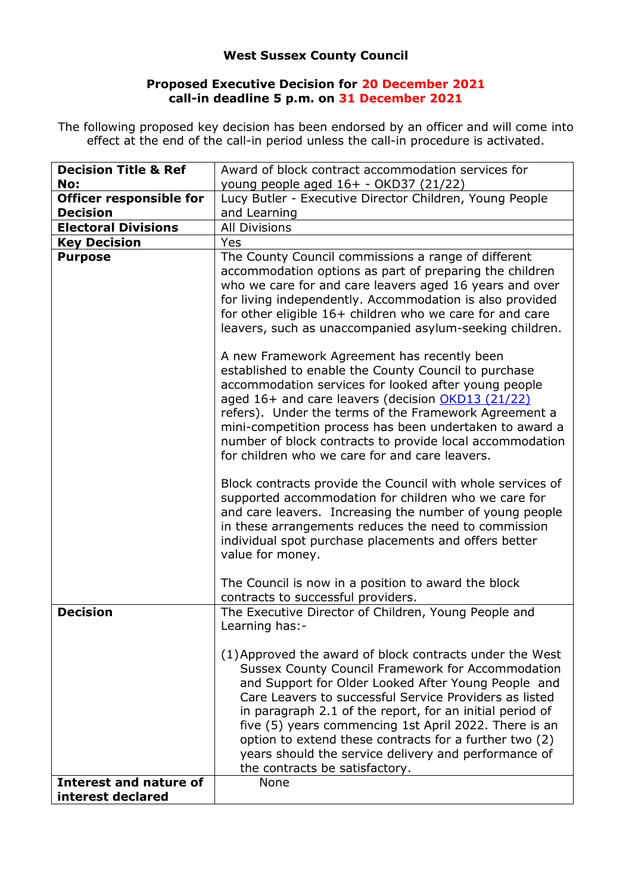## **West Sussex County Council**

## **Proposed Executive Decision for 20 December 2021 call-in deadline 5 p.m. on 31 December 2021**

The following proposed key decision has been endorsed by an officer and will come into effect at the end of the call-in period unless the call-in procedure is activated.

| <b>Decision Title &amp; Ref</b> | Award of block contract accommodation services for                                                                                                                                                                                                                                                                                                                                                                                                                                                             |
|---------------------------------|----------------------------------------------------------------------------------------------------------------------------------------------------------------------------------------------------------------------------------------------------------------------------------------------------------------------------------------------------------------------------------------------------------------------------------------------------------------------------------------------------------------|
| No:                             | young people aged 16+ - OKD37 (21/22)                                                                                                                                                                                                                                                                                                                                                                                                                                                                          |
| <b>Officer responsible for</b>  | Lucy Butler - Executive Director Children, Young People                                                                                                                                                                                                                                                                                                                                                                                                                                                        |
| <b>Decision</b>                 | and Learning                                                                                                                                                                                                                                                                                                                                                                                                                                                                                                   |
| <b>Electoral Divisions</b>      | <b>All Divisions</b>                                                                                                                                                                                                                                                                                                                                                                                                                                                                                           |
| <b>Key Decision</b>             | Yes                                                                                                                                                                                                                                                                                                                                                                                                                                                                                                            |
| <b>Purpose</b>                  | The County Council commissions a range of different<br>accommodation options as part of preparing the children<br>who we care for and care leavers aged 16 years and over<br>for living independently. Accommodation is also provided<br>for other eligible 16+ children who we care for and care<br>leavers, such as unaccompanied asylum-seeking children.<br>A new Framework Agreement has recently been<br>established to enable the County Council to purchase                                            |
|                                 | accommodation services for looked after young people<br>aged 16+ and care leavers (decision OKD13 (21/22)<br>refers). Under the terms of the Framework Agreement a<br>mini-competition process has been undertaken to award a<br>number of block contracts to provide local accommodation<br>for children who we care for and care leavers.                                                                                                                                                                    |
|                                 | Block contracts provide the Council with whole services of<br>supported accommodation for children who we care for<br>and care leavers. Increasing the number of young people<br>in these arrangements reduces the need to commission<br>individual spot purchase placements and offers better<br>value for money.                                                                                                                                                                                             |
|                                 | The Council is now in a position to award the block<br>contracts to successful providers.                                                                                                                                                                                                                                                                                                                                                                                                                      |
| <b>Decision</b>                 | The Executive Director of Children, Young People and<br>Learning has:-                                                                                                                                                                                                                                                                                                                                                                                                                                         |
|                                 | (1) Approved the award of block contracts under the West<br><b>Sussex County Council Framework for Accommodation</b><br>and Support for Older Looked After Young People and<br>Care Leavers to successful Service Providers as listed<br>in paragraph 2.1 of the report, for an initial period of<br>five (5) years commencing 1st April 2022. There is an<br>option to extend these contracts for a further two (2)<br>years should the service delivery and performance of<br>the contracts be satisfactory. |
| Interest and nature of          | None                                                                                                                                                                                                                                                                                                                                                                                                                                                                                                           |
| interest declared               |                                                                                                                                                                                                                                                                                                                                                                                                                                                                                                                |